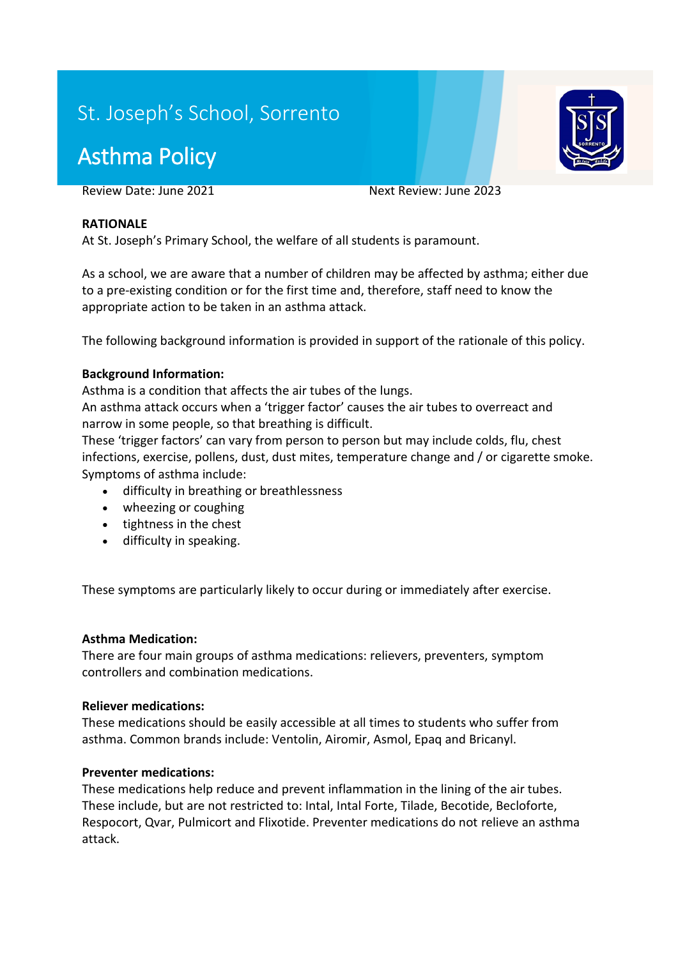# St. Joseph's School, Sorrento

# Asthma Policy

Review Date: June 2021 Next Review: June 2023

#### **RATIONALE**

At St. Joseph's Primary School, the welfare of all students is paramount.

As a school, we are aware that a number of children may be affected by asthma; either due to a pre-existing condition or for the first time and, therefore, staff need to know the appropriate action to be taken in an asthma attack.

The following background information is provided in support of the rationale of this policy.

#### **Background Information:**

Asthma is a condition that affects the air tubes of the lungs.

An asthma attack occurs when a 'trigger factor' causes the air tubes to overreact and narrow in some people, so that breathing is difficult.

These 'trigger factors' can vary from person to person but may include colds, flu, chest infections, exercise, pollens, dust, dust mites, temperature change and / or cigarette smoke. Symptoms of asthma include:

- difficulty in breathing or breathlessness
- wheezing or coughing
- tightness in the chest
- difficulty in speaking.

These symptoms are particularly likely to occur during or immediately after exercise.

#### **Asthma Medication:**

There are four main groups of asthma medications: relievers, preventers, symptom controllers and combination medications.

#### **Reliever medications:**

These medications should be easily accessible at all times to students who suffer from asthma. Common brands include: Ventolin, Airomir, Asmol, Epaq and Bricanyl.

#### **Preventer medications:**

These medications help reduce and prevent inflammation in the lining of the air tubes. These include, but are not restricted to: Intal, Intal Forte, Tilade, Becotide, Becloforte, Respocort, Qvar, Pulmicort and Flixotide. Preventer medications do not relieve an asthma attack.

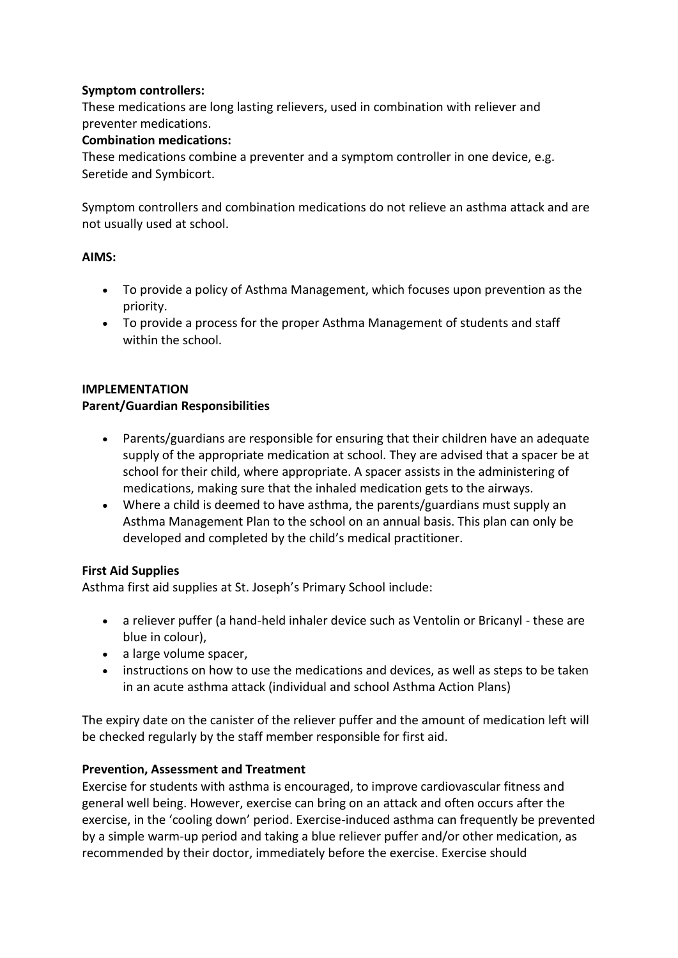### **Symptom controllers:**

These medications are long lasting relievers, used in combination with reliever and preventer medications.

#### **Combination medications:**

These medications combine a preventer and a symptom controller in one device, e.g. Seretide and Symbicort.

Symptom controllers and combination medications do not relieve an asthma attack and are not usually used at school.

#### **AIMS:**

- To provide a policy of Asthma Management, which focuses upon prevention as the priority.
- To provide a process for the proper Asthma Management of students and staff within the school.

#### **IMPLEMENTATION**

#### **Parent/Guardian Responsibilities**

- Parents/guardians are responsible for ensuring that their children have an adequate supply of the appropriate medication at school. They are advised that a spacer be at school for their child, where appropriate. A spacer assists in the administering of medications, making sure that the inhaled medication gets to the airways.
- Where a child is deemed to have asthma, the parents/guardians must supply an Asthma Management Plan to the school on an annual basis. This plan can only be developed and completed by the child's medical practitioner.

### **First Aid Supplies**

Asthma first aid supplies at St. Joseph's Primary School include:

- a reliever puffer (a hand-held inhaler device such as Ventolin or Bricanyl these are blue in colour),
- a large volume spacer,
- instructions on how to use the medications and devices, as well as steps to be taken in an acute asthma attack (individual and school Asthma Action Plans)

The expiry date on the canister of the reliever puffer and the amount of medication left will be checked regularly by the staff member responsible for first aid.

#### **Prevention, Assessment and Treatment**

Exercise for students with asthma is encouraged, to improve cardiovascular fitness and general well being. However, exercise can bring on an attack and often occurs after the exercise, in the 'cooling down' period. Exercise-induced asthma can frequently be prevented by a simple warm-up period and taking a blue reliever puffer and/or other medication, as recommended by their doctor, immediately before the exercise. Exercise should